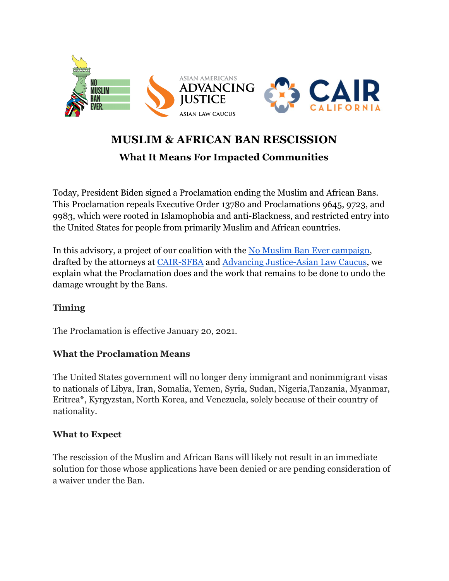

# **MUSLIM & AFRICAN BAN RESCISSION**

## **What It Means For Impacted Communities**

Today, President Biden signed a Proclamation ending the Muslim and African Bans. This Proclamation repeals Executive Order 13780 and Proclamations 9645, 9723, and 9983, which were rooted in Islamophobia and anti-Blackness, and restricted entry into the United States for people from primarily Muslim and African countries.

In this advisory, a project of our coalition with the [No Muslim Ban Ever campaign](https://www.nomuslimbanever.com/), drafted by the attorneys at [CAIR-SFBA](https://ca.cair.com/sfba/) and [Advancing Justice-Asian Law Caucus](https://www.advancingjustice-alc.org/), we explain what the Proclamation does and the work that remains to be done to undo the damage wrought by the Bans.

#### **Timing**

The Proclamation is effective January 20, 2021.

#### **What the Proclamation Means**

The United States government will no longer deny immigrant and nonimmigrant visas to nationals of Libya, Iran, Somalia, Yemen, Syria, Sudan, Nigeria,Tanzania, Myanmar, Eritrea\*, Kyrgyzstan, North Korea, and Venezuela, solely because of their country of nationality.

#### **What to Expect**

The rescission of the Muslim and African Bans will likely not result in an immediate solution for those whose applications have been denied or are pending consideration of a waiver under the Ban.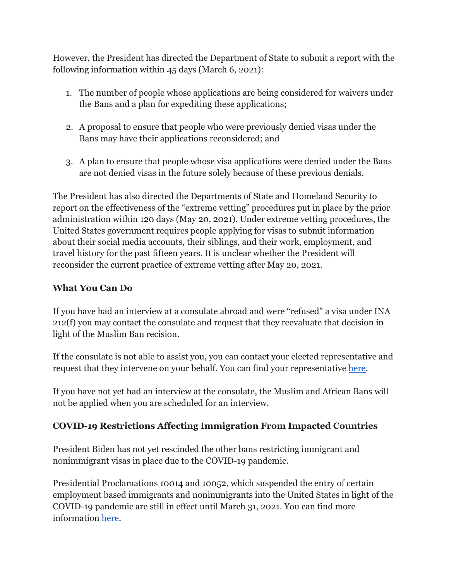However, the President has directed the Department of State to submit a report with the following information within 45 days (March 6, 2021):

- 1. The number of people whose applications are being considered for waivers under the Bans and a plan for expediting these applications;
- 2. A proposal to ensure that people who were previously denied visas under the Bans may have their applications reconsidered; and
- 3. A plan to ensure that people whose visa applications were denied under the Bans are not denied visas in the future solely because of these previous denials.

The President has also directed the Departments of State and Homeland Security to report on the effectiveness of the "extreme vetting" procedures put in place by the prior administration within 120 days (May 20, 2021). Under extreme vetting procedures, the United States government requires people applying for visas to submit information about their social media accounts, their siblings, and their work, employment, and travel history for the past fifteen years. It is unclear whether the President will reconsider the current practice of extreme vetting after May 20, 2021.

#### **What You Can Do**

If you have had an interview at a consulate abroad and were "refused" a visa under INA 212(f) you may contact the consulate and request that they reevaluate that decision in light of the Muslim Ban recision.

If the consulate is not able to assist you, you can contact your elected representative and request that they intervene on your behalf. You can find your representative [here.](https://www.house.gov/representatives/find-your-representative)

If you have not yet had an interview at the consulate, the Muslim and African Bans will not be applied when you are scheduled for an interview.

### **COVID-19 Restrictions Affecting Immigration From Impacted Countries**

President Biden has not yet rescinded the other bans restricting immigrant and nonimmigrant visas in place due to the COVID-19 pandemic.

Presidential Proclamations 10014 and 10052, which suspended the entry of certain employment based immigrants and nonimmigrants into the United States in light of the COVID-19 pandemic are still in effect until March 31, 2021. You can find more information [here](https://travel.state.gov/content/travel/en/News/visas-news/extension-of-presidential-proclamations-10014-and-10052.html).